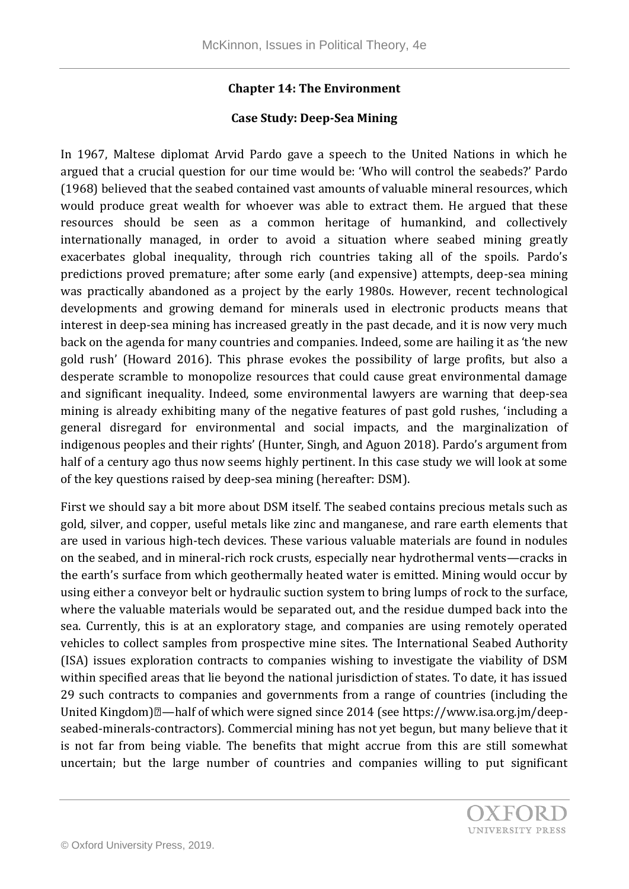## **Chapter 14: The Environment**

## **Case Study: Deep-Sea Mining**

In 1967, Maltese diplomat Arvid Pardo gave a speech to the United Nations in which he argued that a crucial question for our time would be: 'Who will control the seabeds?' Pardo (1968) believed that the seabed contained vast amounts of valuable mineral resources, which would produce great wealth for whoever was able to extract them. He argued that these resources should be seen as a common heritage of humankind, and collectively internationally managed, in order to avoid a situation where seabed mining greatly exacerbates global inequality, through rich countries taking all of the spoils. Pardo's predictions proved premature; after some early (and expensive) attempts, deep-sea mining was practically abandoned as a project by the early 1980s. However, recent technological developments and growing demand for minerals used in electronic products means that interest in deep-sea mining has increased greatly in the past decade, and it is now very much back on the agenda for many countries and companies. Indeed, some are hailing it as 'the new gold rush' (Howard 2016). This phrase evokes the possibility of large profits, but also a desperate scramble to monopolize resources that could cause great environmental damage and significant inequality. Indeed, some environmental lawyers are warning that deep-sea mining is already exhibiting many of the negative features of past gold rushes, 'including a general disregard for environmental and social impacts, and the marginalization of indigenous peoples and their rights' (Hunter, Singh, and Aguon 2018). Pardo's argument from half of a century ago thus now seems highly pertinent. In this case study we will look at some of the key questions raised by deep-sea mining (hereafter: DSM).

First we should say a bit more about DSM itself. The seabed contains precious metals such as gold, silver, and copper, useful metals like zinc and manganese, and rare earth elements that are used in various high-tech devices. These various valuable materials are found in nodules on the seabed, and in mineral-rich rock crusts, especially near hydrothermal vents—cracks in the earth's surface from which geothermally heated water is emitted. Mining would occur by using either a conveyor belt or hydraulic suction system to bring lumps of rock to the surface, where the valuable materials would be separated out, and the residue dumped back into the sea. Currently, this is at an exploratory stage, and companies are using remotely operated vehicles to collect samples from prospective mine sites. The International Seabed Authority (ISA) issues exploration contracts to companies wishing to investigate the viability of DSM within specified areas that lie beyond the national jurisdiction of states. To date, it has issued 29 such contracts to companies and governments from a range of countries (including the United Kingdom)<sup>[2]</sup>—half of which were signed since 2014 (see https://www.isa.org.jm/deepseabed-minerals-contractors). Commercial mining has not yet begun, but many believe that it is not far from being viable. The benefits that might accrue from this are still somewhat uncertain; but the large number of countries and companies willing to put significant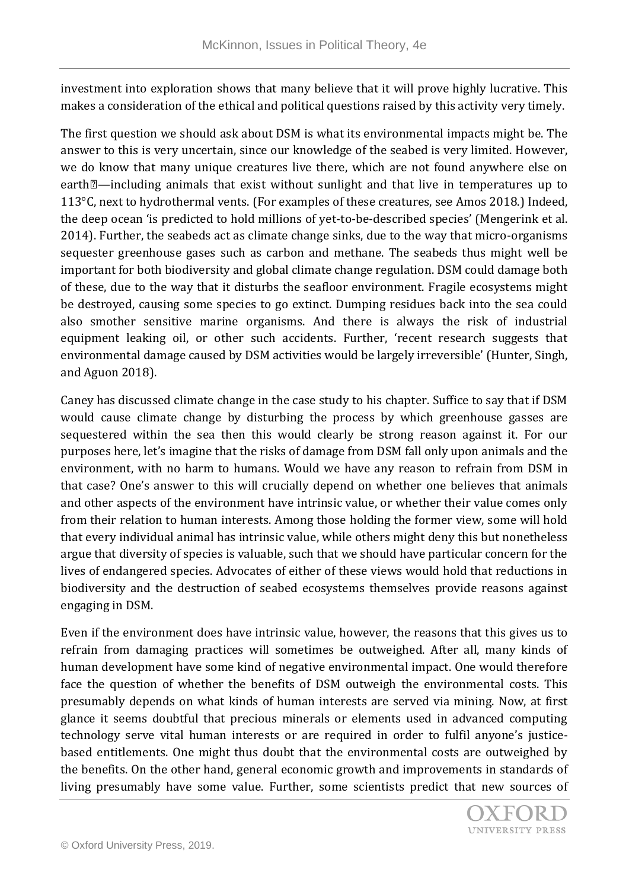investment into exploration shows that many believe that it will prove highly lucrative. This makes a consideration of the ethical and political questions raised by this activity very timely.

The first question we should ask about DSM is what its environmental impacts might be. The answer to this is very uncertain, since our knowledge of the seabed is very limited. However, we do know that many unique creatures live there, which are not found anywhere else on earth<sup>[2]</sup>—including animals that exist without sunlight and that live in temperatures up to 113°C, next to hydrothermal vents. (For examples of these creatures, see Amos 2018.) Indeed, the deep ocean 'is predicted to hold millions of yet-to-be-described species' (Mengerink et al. 2014). Further, the seabeds act as climate change sinks, due to the way that micro-organisms sequester greenhouse gases such as carbon and methane. The seabeds thus might well be important for both biodiversity and global climate change regulation. DSM could damage both of these, due to the way that it disturbs the seafloor environment. Fragile ecosystems might be destroyed, causing some species to go extinct. Dumping residues back into the sea could also smother sensitive marine organisms. And there is always the risk of industrial equipment leaking oil, or other such accidents. Further, 'recent research suggests that environmental damage caused by DSM activities would be largely irreversible' (Hunter, Singh, and Aguon 2018).

Caney has discussed climate change in the case study to his chapter. Suffice to say that if DSM would cause climate change by disturbing the process by which greenhouse gasses are sequestered within the sea then this would clearly be strong reason against it. For our purposes here, let's imagine that the risks of damage from DSM fall only upon animals and the environment, with no harm to humans. Would we have any reason to refrain from DSM in that case? One's answer to this will crucially depend on whether one believes that animals and other aspects of the environment have intrinsic value, or whether their value comes only from their relation to human interests. Among those holding the former view, some will hold that every individual animal has intrinsic value, while others might deny this but nonetheless argue that diversity of species is valuable, such that we should have particular concern for the lives of endangered species. Advocates of either of these views would hold that reductions in biodiversity and the destruction of seabed ecosystems themselves provide reasons against engaging in DSM.

Even if the environment does have intrinsic value, however, the reasons that this gives us to refrain from damaging practices will sometimes be outweighed. After all, many kinds of human development have some kind of negative environmental impact. One would therefore face the question of whether the benefits of DSM outweigh the environmental costs. This presumably depends on what kinds of human interests are served via mining. Now, at first glance it seems doubtful that precious minerals or elements used in advanced computing technology serve vital human interests or are required in order to fulfil anyone's justicebased entitlements. One might thus doubt that the environmental costs are outweighed by the benefits. On the other hand, general economic growth and improvements in standards of living presumably have some value. Further, some scientists predict that new sources of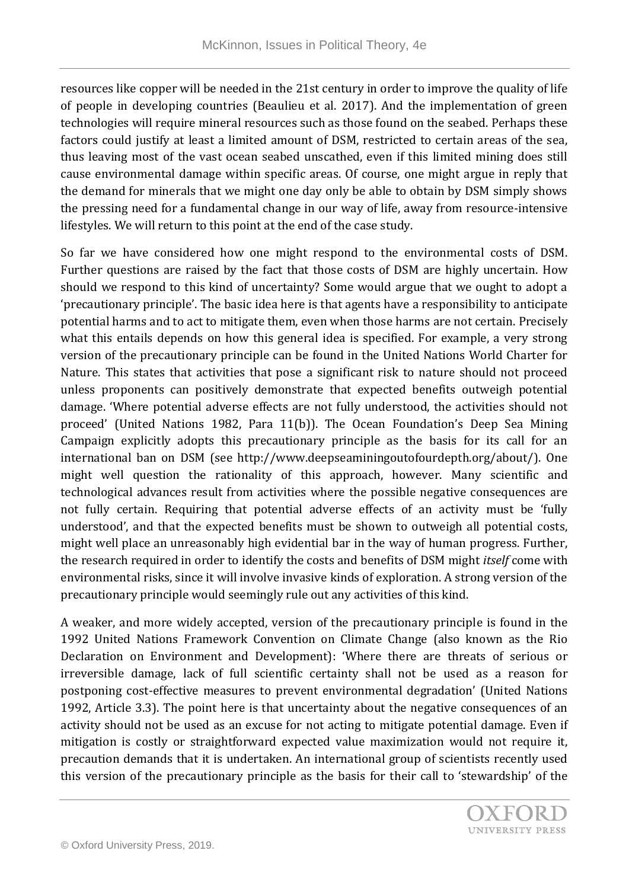resources like copper will be needed in the 21st century in order to improve the quality of life of people in developing countries (Beaulieu et al. 2017). And the implementation of green technologies will require mineral resources such as those found on the seabed. Perhaps these factors could justify at least a limited amount of DSM, restricted to certain areas of the sea, thus leaving most of the vast ocean seabed unscathed, even if this limited mining does still cause environmental damage within specific areas. Of course, one might argue in reply that the demand for minerals that we might one day only be able to obtain by DSM simply shows the pressing need for a fundamental change in our way of life, away from resource-intensive lifestyles. We will return to this point at the end of the case study.

So far we have considered how one might respond to the environmental costs of DSM. Further questions are raised by the fact that those costs of DSM are highly uncertain. How should we respond to this kind of uncertainty? Some would argue that we ought to adopt a 'precautionary principle'. The basic idea here is that agents have a responsibility to anticipate potential harms and to act to mitigate them, even when those harms are not certain. Precisely what this entails depends on how this general idea is specified. For example, a very strong version of the precautionary principle can be found in the United Nations World Charter for Nature. This states that activities that pose a significant risk to nature should not proceed unless proponents can positively demonstrate that expected benefits outweigh potential damage. 'Where potential adverse effects are not fully understood, the activities should not proceed' (United Nations 1982, Para 11(b)). The Ocean Foundation's Deep Sea Mining Campaign explicitly adopts this precautionary principle as the basis for its call for an international ban on DSM (see http://www.deepseaminingoutofourdepth.org/about/). One might well question the rationality of this approach, however. Many scientific and technological advances result from activities where the possible negative consequences are not fully certain. Requiring that potential adverse effects of an activity must be 'fully understood', and that the expected benefits must be shown to outweigh all potential costs, might well place an unreasonably high evidential bar in the way of human progress. Further, the research required in order to identify the costs and benefits of DSM might *itself* come with environmental risks, since it will involve invasive kinds of exploration. A strong version of the precautionary principle would seemingly rule out any activities of this kind.

A weaker, and more widely accepted, version of the precautionary principle is found in the 1992 United Nations Framework Convention on Climate Change (also known as the Rio Declaration on Environment and Development): 'Where there are threats of serious or irreversible damage, lack of full scientific certainty shall not be used as a reason for postponing cost-effective measures to prevent environmental degradation' (United Nations 1992, Article 3.3). The point here is that uncertainty about the negative consequences of an activity should not be used as an excuse for not acting to mitigate potential damage. Even if mitigation is costly or straightforward expected value maximization would not require it, precaution demands that it is undertaken. An international group of scientists recently used this version of the precautionary principle as the basis for their call to 'stewardship' of the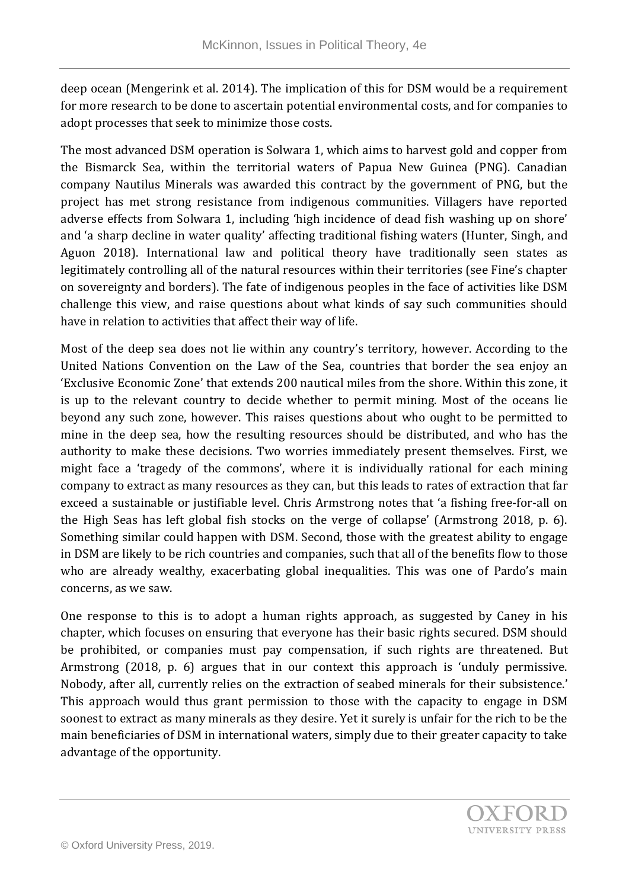deep ocean (Mengerink et al. 2014). The implication of this for DSM would be a requirement for more research to be done to ascertain potential environmental costs, and for companies to adopt processes that seek to minimize those costs.

The most advanced DSM operation is Solwara 1, which aims to harvest gold and copper from the Bismarck Sea, within the territorial waters of Papua New Guinea (PNG). Canadian company Nautilus Minerals was awarded this contract by the government of PNG, but the project has met strong resistance from indigenous communities. Villagers have reported adverse effects from Solwara 1, including 'high incidence of dead fish washing up on shore' and 'a sharp decline in water quality' affecting traditional fishing waters (Hunter, Singh, and Aguon 2018). International law and political theory have traditionally seen states as legitimately controlling all of the natural resources within their territories (see Fine's chapter on sovereignty and borders). The fate of indigenous peoples in the face of activities like DSM challenge this view, and raise questions about what kinds of say such communities should have in relation to activities that affect their way of life.

Most of the deep sea does not lie within any country's territory, however. According to the United Nations Convention on the Law of the Sea, countries that border the sea enjoy an 'Exclusive Economic Zone' that extends 200 nautical miles from the shore. Within this zone, it is up to the relevant country to decide whether to permit mining. Most of the oceans lie beyond any such zone, however. This raises questions about who ought to be permitted to mine in the deep sea, how the resulting resources should be distributed, and who has the authority to make these decisions. Two worries immediately present themselves. First, we might face a 'tragedy of the commons', where it is individually rational for each mining company to extract as many resources as they can, but this leads to rates of extraction that far exceed a sustainable or justifiable level. Chris Armstrong notes that 'a fishing free‐for‐all on the High Seas has left global fish stocks on the verge of collapse' (Armstrong 2018, p. 6). Something similar could happen with DSM. Second, those with the greatest ability to engage in DSM are likely to be rich countries and companies, such that all of the benefits flow to those who are already wealthy, exacerbating global inequalities. This was one of Pardo's main concerns, as we saw.

One response to this is to adopt a human rights approach, as suggested by Caney in his chapter, which focuses on ensuring that everyone has their basic rights secured. DSM should be prohibited, or companies must pay compensation, if such rights are threatened. But Armstrong (2018, p. 6) argues that in our context this approach is 'unduly permissive. Nobody, after all, currently relies on the extraction of seabed minerals for their subsistence.' This approach would thus grant permission to those with the capacity to engage in DSM soonest to extract as many minerals as they desire. Yet it surely is unfair for the rich to be the main beneficiaries of DSM in international waters, simply due to their greater capacity to take advantage of the opportunity.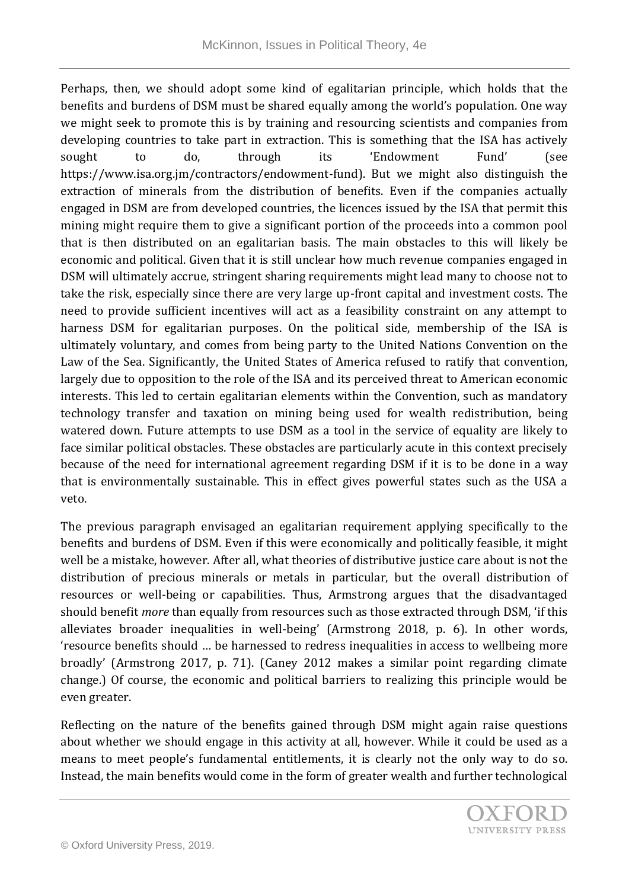Perhaps, then, we should adopt some kind of egalitarian principle, which holds that the benefits and burdens of DSM must be shared equally among the world's population. One way we might seek to promote this is by training and resourcing scientists and companies from developing countries to take part in extraction. This is something that the ISA has actively sought to do, through its 'Endowment Fund' (see https://www.isa.org.jm/contractors/endowment-fund). But we might also distinguish the extraction of minerals from the distribution of benefits. Even if the companies actually engaged in DSM are from developed countries, the licences issued by the ISA that permit this mining might require them to give a significant portion of the proceeds into a common pool that is then distributed on an egalitarian basis. The main obstacles to this will likely be economic and political. Given that it is still unclear how much revenue companies engaged in DSM will ultimately accrue, stringent sharing requirements might lead many to choose not to take the risk, especially since there are very large up-front capital and investment costs. The need to provide sufficient incentives will act as a feasibility constraint on any attempt to harness DSM for egalitarian purposes. On the political side, membership of the ISA is ultimately voluntary, and comes from being party to the United Nations Convention on the Law of the Sea. Significantly, the United States of America refused to ratify that convention, largely due to opposition to the role of the ISA and its perceived threat to American economic interests. This led to certain egalitarian elements within the Convention, such as mandatory technology transfer and taxation on mining being used for wealth redistribution, being watered down. Future attempts to use DSM as a tool in the service of equality are likely to face similar political obstacles. These obstacles are particularly acute in this context precisely because of the need for international agreement regarding DSM if it is to be done in a way that is environmentally sustainable. This in effect gives powerful states such as the USA a veto.

The previous paragraph envisaged an egalitarian requirement applying specifically to the benefits and burdens of DSM. Even if this were economically and politically feasible, it might well be a mistake, however. After all, what theories of distributive justice care about is not the distribution of precious minerals or metals in particular, but the overall distribution of resources or well-being or capabilities. Thus, Armstrong argues that the disadvantaged should benefit *more* than equally from resources such as those extracted through DSM, 'if this alleviates broader inequalities in well-being' (Armstrong 2018, p. 6). In other words, 'resource benefits should … be harnessed to redress inequalities in access to wellbeing more broadly' (Armstrong 2017, p. 71). (Caney 2012 makes a similar point regarding climate change.) Of course, the economic and political barriers to realizing this principle would be even greater.

Reflecting on the nature of the benefits gained through DSM might again raise questions about whether we should engage in this activity at all, however. While it could be used as a means to meet people's fundamental entitlements, it is clearly not the only way to do so. Instead, the main benefits would come in the form of greater wealth and further technological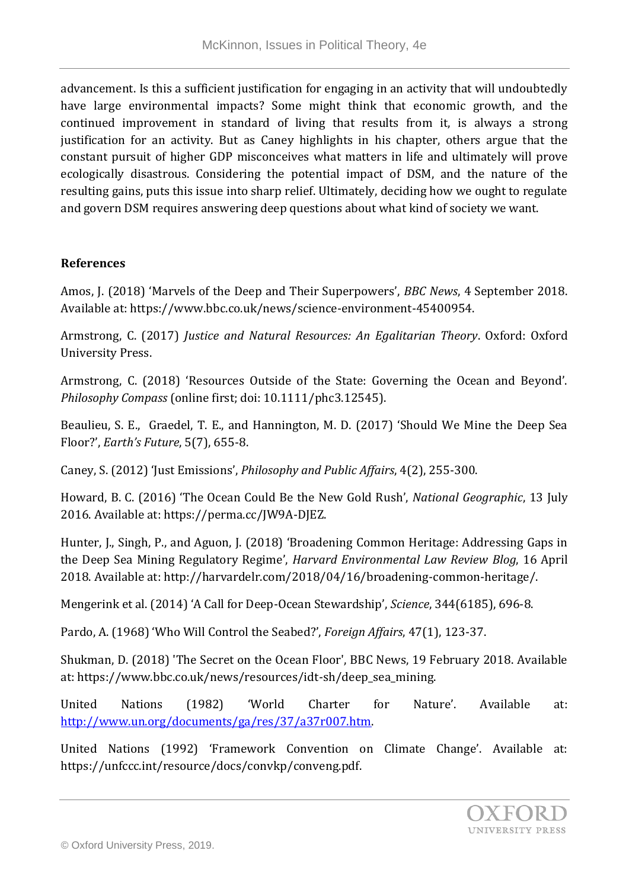advancement. Is this a sufficient justification for engaging in an activity that will undoubtedly have large environmental impacts? Some might think that economic growth, and the continued improvement in standard of living that results from it, is always a strong justification for an activity. But as Caney highlights in his chapter, others argue that the constant pursuit of higher GDP misconceives what matters in life and ultimately will prove ecologically disastrous. Considering the potential impact of DSM, and the nature of the resulting gains, puts this issue into sharp relief. Ultimately, deciding how we ought to regulate and govern DSM requires answering deep questions about what kind of society we want.

## **References**

Amos, J. (2018) 'Marvels of the Deep and Their Superpowers', *BBC News*, 4 September 2018. Available at: https://www.bbc.co.uk/news/science-environment-45400954.

Armstrong, C. (2017) *Justice and Natural Resources: An Egalitarian Theory*. Oxford: Oxford University Press.

Armstrong, C. (2018) 'Resources Outside of the State: Governing the Ocean and Beyond'. *Philosophy Compass* (online first; doi: 10.1111/phc3.12545).

Beaulieu, S. E., Graedel, T. E., and Hannington, M. D. (2017) 'Should We Mine the Deep Sea Floor?', *Earth's Future*, 5(7), 655-8.

Caney, S. (2012) 'Just Emissions', *Philosophy and Public Affairs*, 4(2), 255-300.

Howard, B. C. (2016) 'The Ocean Could Be the New Gold Rush', *National Geographic*, 13 July 2016. Available at: https://perma.cc/JW9A-DJEZ.

Hunter, J., Singh, P., and Aguon, J. (2018) 'Broadening Common Heritage: Addressing Gaps in the Deep Sea Mining Regulatory Regime', *Harvard Environmental Law Review Blog*, 16 April 2018. Available at: http://harvardelr.com/2018/04/16/broadening-common-heritage/.

Mengerink et al. (2014) 'A Call for Deep-Ocean Stewardship', *Science*, 344(6185), 696-8.

Pardo, A. (1968) 'Who Will Control the Seabed?', *Foreign Affairs*, 47(1), 123-37.

Shukman, D. (2018) 'The Secret on the Ocean Floor', BBC News, 19 February 2018. Available at: https://www.bbc.co.uk/news/resources/idt-sh/deep\_sea\_mining.

United Nations (1982) 'World Charter for Nature'. Available at: [http://www.un.org/documents/ga/res/37/a37r007.htm.](http://www.un.org/documents/ga/res/37/a37r007.htm)

United Nations (1992) 'Framework Convention on Climate Change'. Available at: https://unfccc.int/resource/docs/convkp/conveng.pdf.